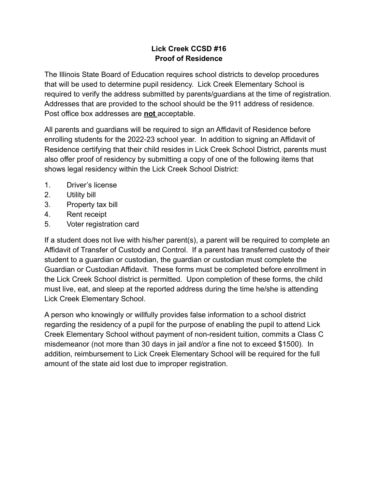## **Lick Creek CCSD #16 Proof of Residence**

The Illinois State Board of Education requires school districts to develop procedures that will be used to determine pupil residency. Lick Creek Elementary School is required to verify the address submitted by parents/guardians at the time of registration. Addresses that are provided to the school should be the 911 address of residence. Post office box addresses are **not** acceptable.

All parents and guardians will be required to sign an Affidavit of Residence before enrolling students for the 2022-23 school year. In addition to signing an Affidavit of Residence certifying that their child resides in Lick Creek School District, parents must also offer proof of residency by submitting a copy of one of the following items that shows legal residency within the Lick Creek School District:

- 1. Driver's license
- 2. Utility bill
- 3. Property tax bill
- 4. Rent receipt
- 5. Voter registration card

If a student does not live with his/her parent(s), a parent will be required to complete an Affidavit of Transfer of Custody and Control. If a parent has transferred custody of their student to a guardian or custodian, the guardian or custodian must complete the Guardian or Custodian Affidavit. These forms must be completed before enrollment in the Lick Creek School district is permitted. Upon completion of these forms, the child must live, eat, and sleep at the reported address during the time he/she is attending Lick Creek Elementary School.

A person who knowingly or willfully provides false information to a school district regarding the residency of a pupil for the purpose of enabling the pupil to attend Lick Creek Elementary School without payment of non-resident tuition, commits a Class C misdemeanor (not more than 30 days in jail and/or a fine not to exceed \$1500). In addition, reimbursement to Lick Creek Elementary School will be required for the full amount of the state aid lost due to improper registration.